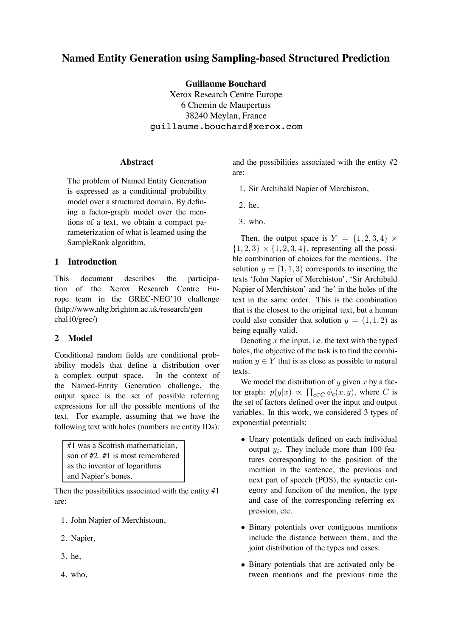# **Named Entity Generation using Sampling-based Structured Prediction**

**Guillaume Bouchard**

Xerox Research Centre Europe 6 Chemin de Maupertuis 38240 Meylan, France guillaume.bouchard@xerox.com

### **Abstract**

The problem of Named Entity Generation is expressed as a conditional probability model over a structured domain. By defining a factor-graph model over the mentions of a text, we obtain a compact parameterization of what is learned using the SampleRank algorithm.

## **1 Introduction**

This document describes the participation of the Xerox Research Centre Europe team in the GREC-NEG'10 challenge (http://www.nltg.brighton.ac.uk/research/gen chal10/grec/)

### **2 Model**

Conditional random fields are conditional probability models that define a distribution over a complex output space. In the context of the Named-Entity Generation challenge, the output space is the set of possible referring expressions for all the possible mentions of the text. For example, assuming that we have the following text with holes (numbers are entity IDs):

| #1 was a Scottish mathematician,        |
|-----------------------------------------|
| son of $\#2$ , $\#1$ is most remembered |
| as the inventor of logarithms           |
| and Napier's bones.                     |

Then the possibilities associated with the entity  $#1$ are:

- 1. John Napier of Merchistoun,
- 2. Napier,
- 3. he,
- 4. who,

and the possibilities associated with the entity #2 are:

- 1. Sir Archibald Napier of Merchiston,
- 2. he,
- 3. who.

Then, the output space is  $Y = \{1, 2, 3, 4\} \times$  $\{1, 2, 3\} \times \{1, 2, 3, 4\}$ , representing all the possible combination of choices for the mentions. The solution  $y = (1, 1, 3)$  corresponds to inserting the texts 'John Napier of Merchiston', 'Sir Archibald Napier of Merchiston' and 'he' in the holes of the text in the same order. This is the combination that is the closest to the original text, but a human could also consider that solution  $y = (1, 1, 2)$  as being equally valid.

Denoting  $x$  the input, i.e. the text with the typed holes, the objective of the task is to find the combination  $y \in Y$  that is as close as possible to natural texts.

We model the distribution of y given x by a factor graph:  $p(y|x) \propto \prod_{c \in C} \phi_c(x, y)$ , where C is the set of factors defined over the input and output variables. In this work, we considered 3 types of exponential potentials:

- Unary potentials defined on each individual output  $y_i$ . They include more than 100 features corresponding to the position of the mention in the sentence, the previous and next part of speech (POS), the syntactic category and funciton of the mention, the type and case of the corresponding referring expression, etc.
- Binary potentials over contiguous mentions include the distance between them, and the joint distribution of the types and cases.
- Binary potentials that are activated only between mentions and the previous time the